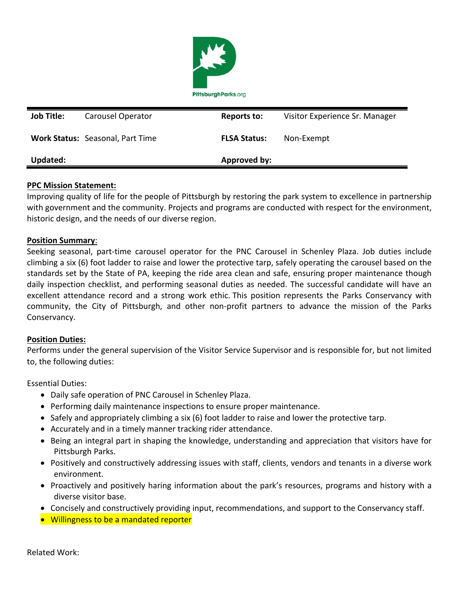

| <b>Job Title:</b> | Carousel Operator                       | Reports to:         | Visitor Experience Sr. Manager |
|-------------------|-----------------------------------------|---------------------|--------------------------------|
|                   | <b>Work Status: Seasonal, Part Time</b> | <b>FLSA Status:</b> | Non-Exempt                     |
| Updated:          |                                         | Approved by:        |                                |

## **PPC Mission Statement:**

Improving quality of life for the people of Pittsburgh by restoring the park system to excellence in partnership with government and the community. Projects and programs are conducted with respect for the environment, historic design, and the needs of our diverse region.

## **Position Summary**:

Seeking seasonal, part-time carousel operator for the PNC Carousel in Schenley Plaza. Job duties include climbing a six (6) foot ladder to raise and lower the protective tarp, safely operating the carousel based on the standards set by the State of PA, keeping the ride area clean and safe, ensuring proper maintenance though daily inspection checklist, and performing seasonal duties as needed. The successful candidate will have an excellent attendance record and a strong work ethic. This position represents the Parks Conservancy with community, the City of Pittsburgh, and other non-profit partners to advance the mission of the Parks Conservancy.

## **Position Duties:**

Performs under the general supervision of the Visitor Service Supervisor and is responsible for, but not limited to, the following duties:

Essential Duties:

- Daily safe operation of PNC Carousel in Schenley Plaza.
- Performing daily maintenance inspections to ensure proper maintenance.
- Safely and appropriately climbing a six (6) foot ladder to raise and lower the protective tarp.
- Accurately and in a timely manner tracking rider attendance.
- Being an integral part in shaping the knowledge, understanding and appreciation that visitors have for Pittsburgh Parks.
- Positively and constructively addressing issues with staff, clients, vendors and tenants in a diverse work environment.
- Proactively and positively haring information about the park's resources, programs and history with a diverse visitor base.
- Concisely and constructively providing input, recommendations, and support to the Conservancy staff.
- Willingness to be a mandated reporter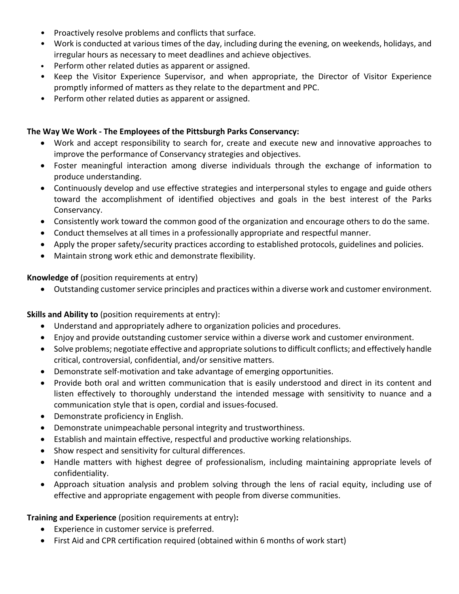- Proactively resolve problems and conflicts that surface.
- Work is conducted at various times of the day, including during the evening, on weekends, holidays, and irregular hours as necessary to meet deadlines and achieve objectives.
- Perform other related duties as apparent or assigned.
- Keep the Visitor Experience Supervisor, and when appropriate, the Director of Visitor Experience promptly informed of matters as they relate to the department and PPC.
- Perform other related duties as apparent or assigned.

## **The Way We Work - The Employees of the Pittsburgh Parks Conservancy:**

- Work and accept responsibility to search for, create and execute new and innovative approaches to improve the performance of Conservancy strategies and objectives.
- Foster meaningful interaction among diverse individuals through the exchange of information to produce understanding.
- Continuously develop and use effective strategies and interpersonal styles to engage and guide others toward the accomplishment of identified objectives and goals in the best interest of the Parks Conservancy.
- Consistently work toward the common good of the organization and encourage others to do the same.
- Conduct themselves at all times in a professionally appropriate and respectful manner.
- Apply the proper safety/security practices according to established protocols, guidelines and policies.
- Maintain strong work ethic and demonstrate flexibility.

## **Knowledge of** (position requirements at entry)

• Outstanding customer service principles and practices within a diverse work and customer environment.

# **Skills and Ability to** (position requirements at entry):

- Understand and appropriately adhere to organization policies and procedures.
- Enjoy and provide outstanding customer service within a diverse work and customer environment.
- Solve problems; negotiate effective and appropriate solutions to difficult conflicts; and effectively handle critical, controversial, confidential, and/or sensitive matters.
- Demonstrate self-motivation and take advantage of emerging opportunities.
- Provide both oral and written communication that is easily understood and direct in its content and listen effectively to thoroughly understand the intended message with sensitivity to nuance and a communication style that is open, cordial and issues-focused.
- Demonstrate proficiency in English.
- Demonstrate unimpeachable personal integrity and trustworthiness.
- Establish and maintain effective, respectful and productive working relationships.
- Show respect and sensitivity for cultural differences.
- Handle matters with highest degree of professionalism, including maintaining appropriate levels of confidentiality.
- Approach situation analysis and problem solving through the lens of racial equity, including use of effective and appropriate engagement with people from diverse communities.

# **Training and Experience** (position requirements at entry)**:**

- Experience in customer service is preferred.
- First Aid and CPR certification required (obtained within 6 months of work start)